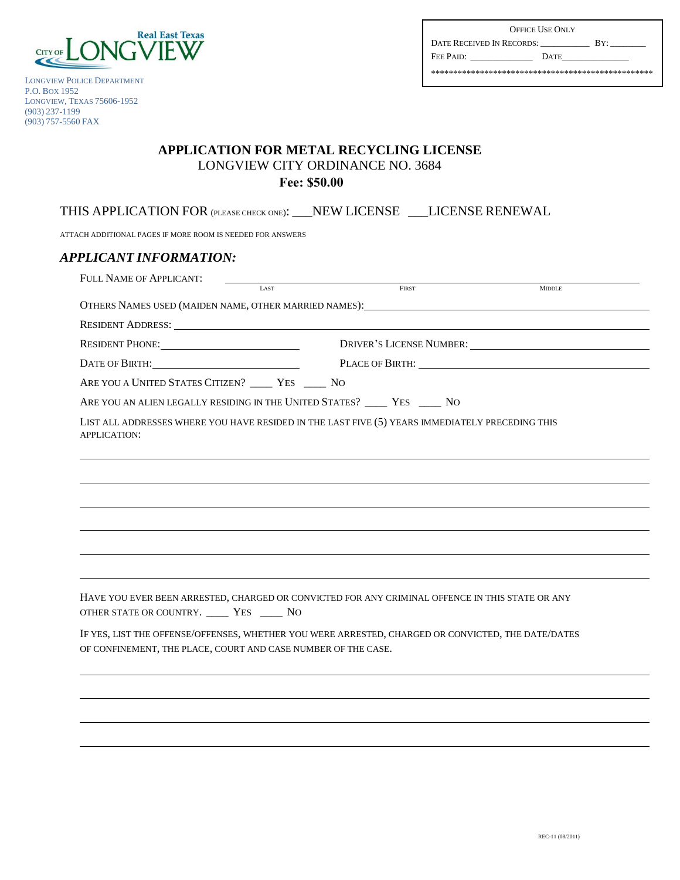

LONGVIEW POLICE DEPARTMENT P.O. BOX 1952 LONGVIEW, TEXAS 75606-1952 (903) 237-1199 (903) 757-5560 FAX

| <b>OFFICE USE ONLY</b>    |             |     |  |  |  |
|---------------------------|-------------|-----|--|--|--|
| DATE RECEIVED IN RECORDS: |             | BY' |  |  |  |
| FEE PAID:                 | <b>DATE</b> |     |  |  |  |
|                           |             |     |  |  |  |

## **APPLICATION FOR METAL RECYCLING LICENSE**  LONGVIEW CITY ORDINANCE NO. 3684 **Fee: \$50.00**

THIS APPLICATION FOR (PLEASE CHECK ONE): \_\_\_NEW LICENSE \_\_\_LICENSE RENEWAL

ATTACH ADDITIONAL PAGES IF MORE ROOM IS NEEDED FOR ANSWERS

## *APPLICANT INFORMATION:*  FULL NAME OF APPLICANT: LAST MIDDLE **EXAMPLE 2018** FIRST **FIRST** AND **MIDDLE** OTHERS NAMES USED (MAIDEN NAME, OTHER MARRIED NAMES): RESIDENT ADDRESS: RESIDENT PHONE: <u>DRIVER'S LICENSE NUMBER:</u> DATE OF BIRTH: PLACE OF BIRTH: PLACE OF BIRTH: ARE YOU A UNITED STATES CITIZEN? \_\_\_\_\_ YES \_\_\_\_\_ NO ARE YOU AN ALIEN LEGALLY RESIDING IN THE UNITED STATES? \_\_\_\_\_ YES \_\_\_\_\_ NO LIST ALL ADDRESSES WHERE YOU HAVE RESIDED IN THE LAST FIVE (5) YEARS IMMEDIATELY PRECEDING THIS APPLICATION: HAVE YOU EVER BEEN ARRESTED, CHARGED OR CONVICTED FOR ANY CRIMINAL OFFENCE IN THIS STATE OR ANY OTHER STATE OR COUNTRY. \_\_\_\_ YES \_\_\_\_ NO IF YES, LIST THE OFFENSE/OFFENSES, WHETHER YOU WERE ARRESTED, CHARGED OR CONVICTED, THE DATE/DATES OF CONFINEMENT, THE PLACE, COURT AND CASE NUMBER OF THE CASE.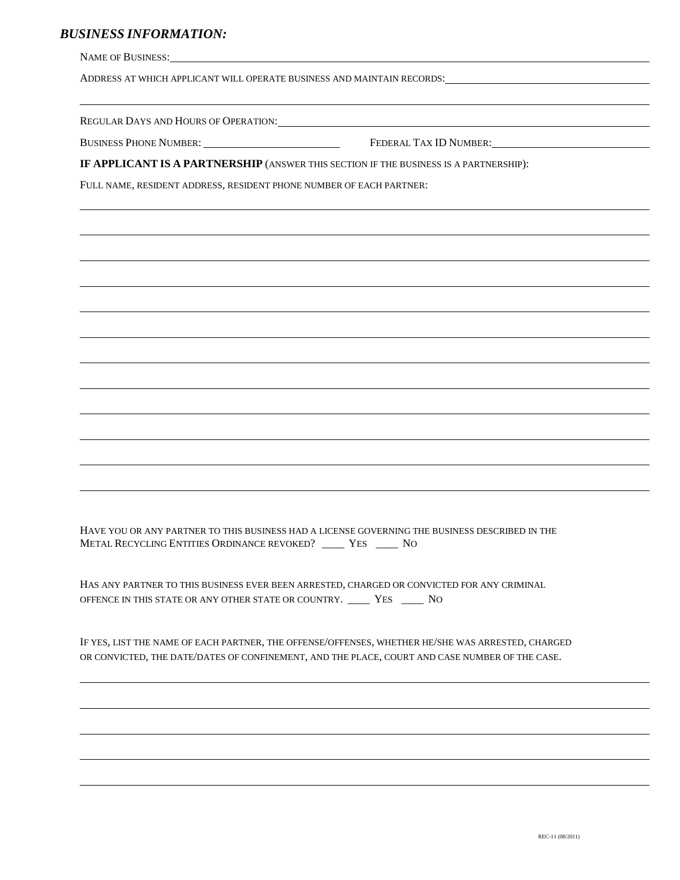## *BUSINESS INFORMATION:*

| ADDRESS AT WHICH APPLICANT WILL OPERATE BUSINESS AND MAINTAIN RECORDS:                                                                                                |                                               |  |  |  |
|-----------------------------------------------------------------------------------------------------------------------------------------------------------------------|-----------------------------------------------|--|--|--|
|                                                                                                                                                                       |                                               |  |  |  |
|                                                                                                                                                                       | BUSINESS PHONE NUMBER: FEDERAL TAX ID NUMBER: |  |  |  |
| IF APPLICANT IS A PARTNERSHIP (ANSWER THIS SECTION IF THE BUSINESS IS A PARTNERSHIP):                                                                                 |                                               |  |  |  |
| FULL NAME, RESIDENT ADDRESS, RESIDENT PHONE NUMBER OF EACH PARTNER:                                                                                                   |                                               |  |  |  |
|                                                                                                                                                                       |                                               |  |  |  |
|                                                                                                                                                                       |                                               |  |  |  |
|                                                                                                                                                                       |                                               |  |  |  |
|                                                                                                                                                                       |                                               |  |  |  |
|                                                                                                                                                                       |                                               |  |  |  |
|                                                                                                                                                                       |                                               |  |  |  |
|                                                                                                                                                                       |                                               |  |  |  |
|                                                                                                                                                                       |                                               |  |  |  |
|                                                                                                                                                                       |                                               |  |  |  |
|                                                                                                                                                                       |                                               |  |  |  |
|                                                                                                                                                                       |                                               |  |  |  |
|                                                                                                                                                                       |                                               |  |  |  |
|                                                                                                                                                                       |                                               |  |  |  |
|                                                                                                                                                                       |                                               |  |  |  |
| HAVE YOU OR ANY PARTNER TO THIS BUSINESS HAD A LICENSE GOVERNING THE BUSINESS DESCRIBED IN THE<br>METAL RECYCLING ENTITIES ORDINANCE REVOKED? _____ YES _____ NO      |                                               |  |  |  |
| HAS ANY PARTNER TO THIS BUSINESS EVER BEEN ARRESTED, CHARGED OR CONVICTED FOR ANY CRIMINAL<br>OFFENCE IN THIS STATE OR ANY OTHER STATE OR COUNTRY. _____ YES _____ NO |                                               |  |  |  |
| IF YES, LIST THE NAME OF EACH PARTNER, THE OFFENSE/OFFENSES, WHETHER HE/SHE WAS ARRESTED, CHARGED                                                                     |                                               |  |  |  |

OR CONVICTED, THE DATE/DATES OF CONFINEMENT, AND THE PLACE, COURT AND CASE NUMBER OF THE CASE.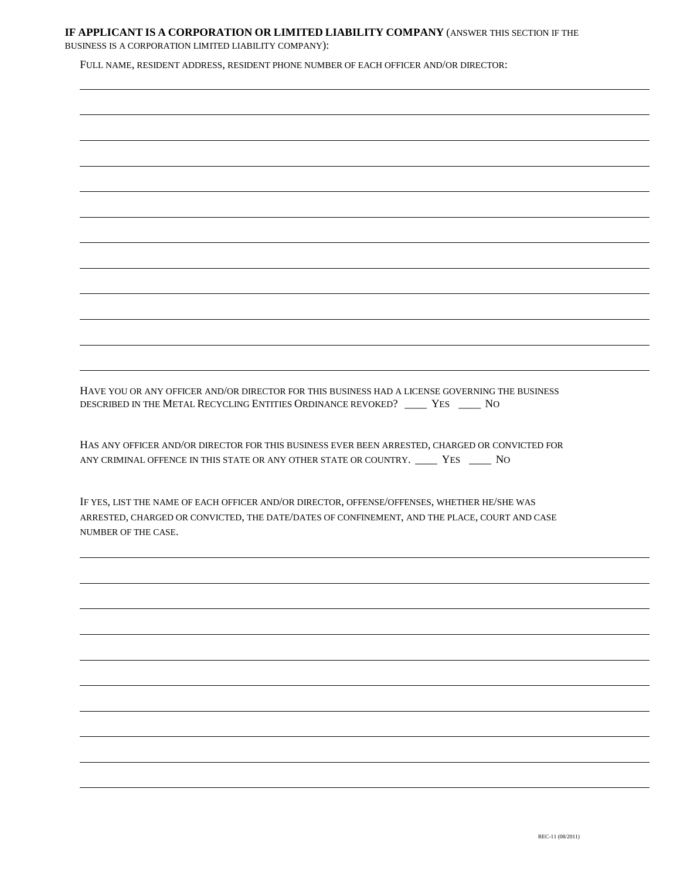## **IF APPLICANT IS A CORPORATION OR LIMITED LIABILITY COMPANY** (ANSWER THIS SECTION IF THE BUSINESS IS A CORPORATION LIMITED LIABILITY COMPANY):

FULL NAME, RESIDENT ADDRESS, RESIDENT PHONE NUMBER OF EACH OFFICER AND/OR DIRECTOR:

HAVE YOU OR ANY OFFICER AND/OR DIRECTOR FOR THIS BUSINESS HAD A LICENSE GOVERNING THE BUSINESS DESCRIBED IN THE METAL RECYCLING ENTITIES ORDINANCE REVOKED? \_\_\_\_ YES \_\_\_\_ NO

HAS ANY OFFICER AND/OR DIRECTOR FOR THIS BUSINESS EVER BEEN ARRESTED, CHARGED OR CONVICTED FOR ANY CRIMINAL OFFENCE IN THIS STATE OR ANY OTHER STATE OR COUNTRY. \_\_\_\_\_ YES \_\_\_\_\_ NO

IF YES, LIST THE NAME OF EACH OFFICER AND/OR DIRECTOR, OFFENSE/OFFENSES, WHETHER HE/SHE WAS ARRESTED, CHARGED OR CONVICTED, THE DATE/DATES OF CONFINEMENT, AND THE PLACE, COURT AND CASE NUMBER OF THE CASE.